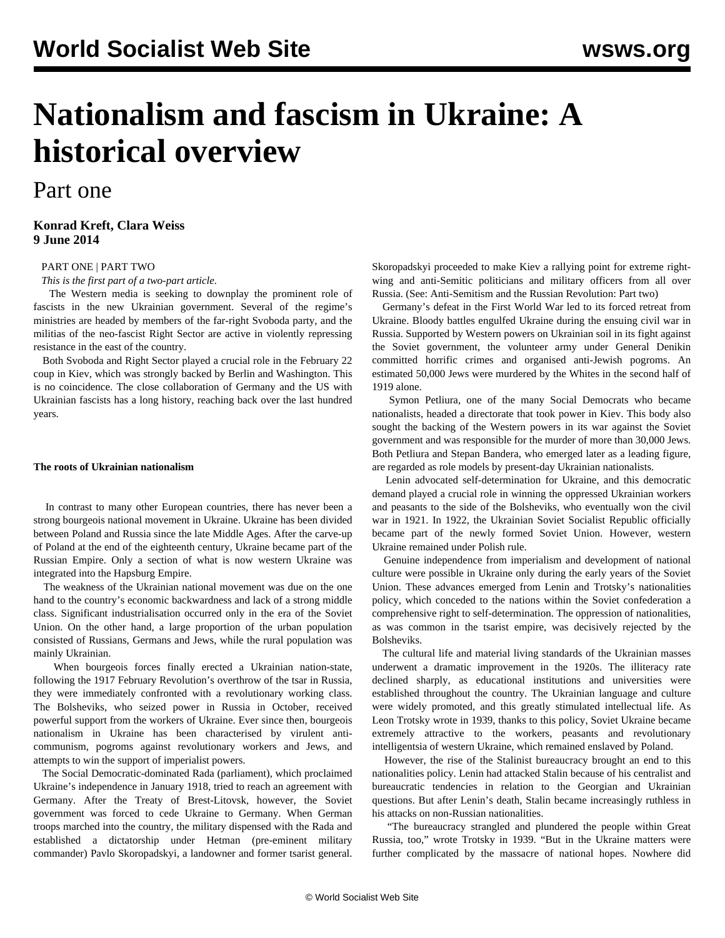# **Nationalism and fascism in Ukraine: A historical overview**

# Part one

### **Konrad Kreft, Clara Weiss 9 June 2014**

### [PART ONE](/en/articles/2014/06/09/fasc-j09.html) | [PART TWO](/en/articles/2014/06/10/fasc-j10.html)

*This is the first part of a two-part article.*

 The Western media is seeking to downplay the prominent role of fascists in the new Ukrainian government. Several of the regime's ministries are headed by members of the far-right Svoboda party, and the militias of the neo-fascist Right Sector are active in violently repressing resistance in the east of the country.

 Both Svoboda and Right Sector played a crucial role in the February 22 coup in Kiev, which was strongly backed by Berlin and Washington. This is no coincidence. The close collaboration of Germany and the US with Ukrainian fascists has a long history, reaching back over the last hundred years.

#### **The roots of Ukrainian nationalism**

 In contrast to many other European countries, there has never been a strong bourgeois national movement in Ukraine. Ukraine has been divided between Poland and Russia since the late Middle Ages. After the carve-up of Poland at the end of the eighteenth century, Ukraine became part of the Russian Empire. Only a section of what is now western Ukraine was integrated into the Hapsburg Empire.

 The weakness of the Ukrainian national movement was due on the one hand to the country's economic backwardness and lack of a strong middle class. Significant industrialisation occurred only in the era of the Soviet Union. On the other hand, a large proportion of the urban population consisted of Russians, Germans and Jews, while the rural population was mainly Ukrainian.

 When bourgeois forces finally erected a Ukrainian nation-state, following the 1917 February Revolution's overthrow of the tsar in Russia, they were immediately confronted with a revolutionary working class. The Bolsheviks, who seized power in Russia in October, received powerful support from the workers of Ukraine. Ever since then, bourgeois nationalism in Ukraine has been characterised by virulent anticommunism, pogroms against revolutionary workers and Jews, and attempts to win the support of imperialist powers.

 The Social Democratic-dominated Rada (parliament), which proclaimed Ukraine's independence in January 1918, tried to reach an agreement with Germany. After the Treaty of Brest-Litovsk, however, the Soviet government was forced to cede Ukraine to Germany. When German troops marched into the country, the military dispensed with the Rada and established a dictatorship under Hetman (pre-eminent military commander) Pavlo Skoropadskyi, a landowner and former tsarist general. Skoropadskyi proceeded to make Kiev a rallying point for extreme rightwing and anti-Semitic politicians and military officers from all over Russia. (See: [Anti-Semitism and the Russian Revolution: Part two](/en/articles/2014/04/30/semi-a30.html))

 Germany's defeat in the First World War led to its forced retreat from Ukraine. Bloody battles engulfed Ukraine during the ensuing civil war in Russia. Supported by Western powers on Ukrainian soil in its fight against the Soviet government, the volunteer army under General Denikin committed horrific crimes and organised anti-Jewish pogroms. An estimated 50,000 Jews were murdered by the Whites in the second half of 1919 alone.

 Symon Petliura, one of the many Social Democrats who became nationalists, headed a directorate that took power in Kiev. This body also sought the backing of the Western powers in its war against the Soviet government and was responsible for the murder of more than 30,000 Jews. Both Petliura and Stepan Bandera, who emerged later as a leading figure, are regarded as role models by present-day Ukrainian nationalists.

 Lenin advocated self-determination for Ukraine, and this democratic demand played a crucial role in winning the oppressed Ukrainian workers and peasants to the side of the Bolsheviks, who eventually won the civil war in 1921. In 1922, the Ukrainian Soviet Socialist Republic officially became part of the newly formed Soviet Union. However, western Ukraine remained under Polish rule.

 Genuine independence from imperialism and development of national culture were possible in Ukraine only during the early years of the Soviet Union. These advances emerged from Lenin and Trotsky's nationalities policy, which conceded to the nations within the Soviet confederation a comprehensive right to self-determination. The oppression of nationalities, as was common in the tsarist empire, was decisively rejected by the Bolsheviks.

 The cultural life and material living standards of the Ukrainian masses underwent a dramatic improvement in the 1920s. The illiteracy rate declined sharply, as educational institutions and universities were established throughout the country. The Ukrainian language and culture were widely promoted, and this greatly stimulated intellectual life. As Leon Trotsky wrote in 1939, thanks to this policy, Soviet Ukraine became extremely attractive to the workers, peasants and revolutionary intelligentsia of western Ukraine, which remained enslaved by Poland.

 However, the rise of the Stalinist bureaucracy brought an end to this nationalities policy. Lenin had attacked Stalin because of his centralist and bureaucratic tendencies in relation to the Georgian and Ukrainian questions. But after Lenin's death, Stalin became increasingly ruthless in his attacks on non-Russian nationalities.

 "The bureaucracy strangled and plundered the people within Great Russia, too," wrote Trotsky in 1939. "But in the Ukraine matters were further complicated by the massacre of national hopes. Nowhere did